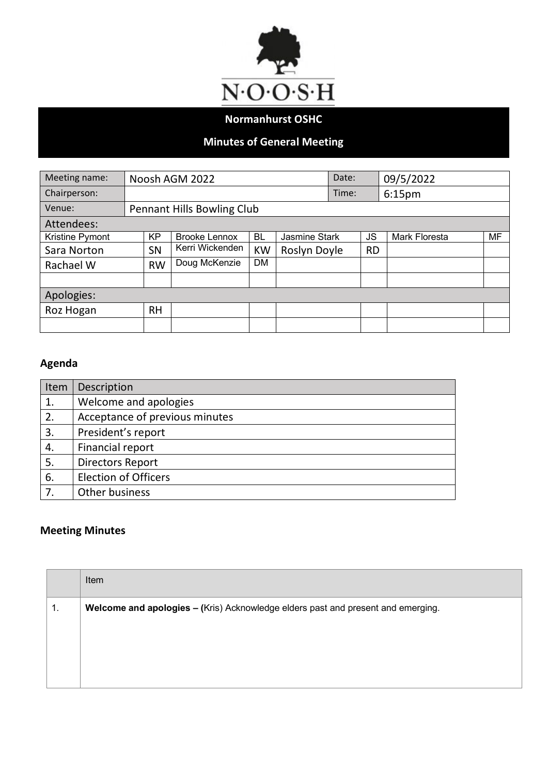

## **Normanhurst OSHC**

## **Minutes of General Meeting**

| Meeting name:   |                            |           | Noosh AGM 2022       |           |                      | Date: |           | 09/5/2022            |    |
|-----------------|----------------------------|-----------|----------------------|-----------|----------------------|-------|-----------|----------------------|----|
| Chairperson:    |                            |           |                      |           |                      | Time: |           | 6:15 <sub>pm</sub>   |    |
| Venue:          | Pennant Hills Bowling Club |           |                      |           |                      |       |           |                      |    |
| Attendees:      |                            |           |                      |           |                      |       |           |                      |    |
| Kristine Pymont |                            | <b>KP</b> | <b>Brooke Lennox</b> | <b>BL</b> | <b>Jasmine Stark</b> |       |           | <b>Mark Floresta</b> | MF |
| Sara Norton     |                            | SN        | Kerri Wickenden      | <b>KW</b> | Roslyn Doyle         |       | <b>RD</b> |                      |    |
| Rachael W       |                            | <b>RW</b> | Doug McKenzie        | <b>DM</b> |                      |       |           |                      |    |
|                 |                            |           |                      |           |                      |       |           |                      |    |
| Apologies:      |                            |           |                      |           |                      |       |           |                      |    |
| Roz Hogan       |                            | <b>RH</b> |                      |           |                      |       |           |                      |    |
|                 |                            |           |                      |           |                      |       |           |                      |    |

## **Agenda**

| Item | Description                    |
|------|--------------------------------|
| 1.   | Welcome and apologies          |
| 2.   | Acceptance of previous minutes |
| 3.   | President's report             |
| 4.   | Financial report               |
| 5.   | <b>Directors Report</b>        |
| 6.   | <b>Election of Officers</b>    |
| 7.   | Other business                 |

## **Meeting Minutes**

|    | Item                                                                             |
|----|----------------------------------------------------------------------------------|
| 1. | Welcome and apologies - (Kris) Acknowledge elders past and present and emerging. |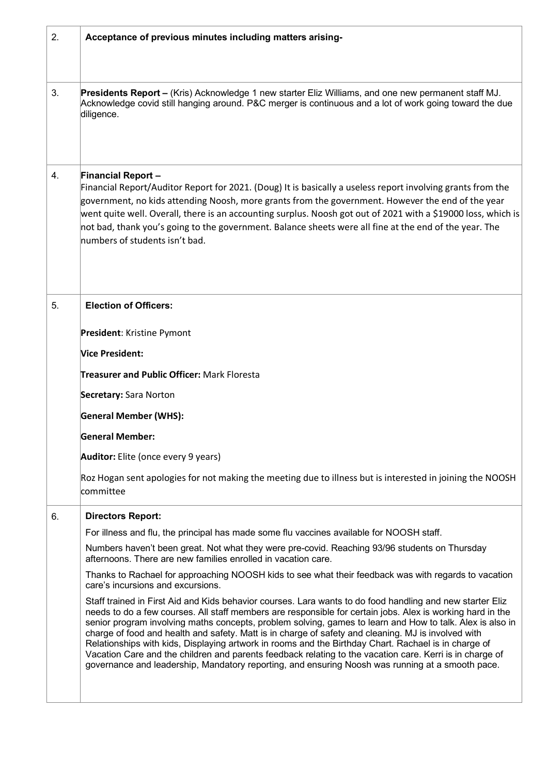| 2. | Acceptance of previous minutes including matters arising-                                                                                                                                                                                                                                                                                                                                                                                                                                                                                                                                                                                                                                                                                                           |
|----|---------------------------------------------------------------------------------------------------------------------------------------------------------------------------------------------------------------------------------------------------------------------------------------------------------------------------------------------------------------------------------------------------------------------------------------------------------------------------------------------------------------------------------------------------------------------------------------------------------------------------------------------------------------------------------------------------------------------------------------------------------------------|
| 3. | Presidents Report - (Kris) Acknowledge 1 new starter Eliz Williams, and one new permanent staff MJ.<br>Acknowledge covid still hanging around. P&C merger is continuous and a lot of work going toward the due<br>diligence.                                                                                                                                                                                                                                                                                                                                                                                                                                                                                                                                        |
| 4. | <b>Financial Report-</b><br>Financial Report/Auditor Report for 2021. (Doug) It is basically a useless report involving grants from the<br>government, no kids attending Noosh, more grants from the government. However the end of the year<br>went quite well. Overall, there is an accounting surplus. Noosh got out of 2021 with a \$19000 loss, which is<br>not bad, thank you's going to the government. Balance sheets were all fine at the end of the year. The<br>numbers of students isn't bad.                                                                                                                                                                                                                                                           |
| 5. | <b>Election of Officers:</b>                                                                                                                                                                                                                                                                                                                                                                                                                                                                                                                                                                                                                                                                                                                                        |
|    | President: Kristine Pymont                                                                                                                                                                                                                                                                                                                                                                                                                                                                                                                                                                                                                                                                                                                                          |
|    | <b>Vice President:</b>                                                                                                                                                                                                                                                                                                                                                                                                                                                                                                                                                                                                                                                                                                                                              |
|    | <b>Treasurer and Public Officer: Mark Floresta</b>                                                                                                                                                                                                                                                                                                                                                                                                                                                                                                                                                                                                                                                                                                                  |
|    | Secretary: Sara Norton                                                                                                                                                                                                                                                                                                                                                                                                                                                                                                                                                                                                                                                                                                                                              |
|    | <b>General Member (WHS):</b>                                                                                                                                                                                                                                                                                                                                                                                                                                                                                                                                                                                                                                                                                                                                        |
|    | <b>General Member:</b>                                                                                                                                                                                                                                                                                                                                                                                                                                                                                                                                                                                                                                                                                                                                              |
|    | Auditor: Elite (once every 9 years)                                                                                                                                                                                                                                                                                                                                                                                                                                                                                                                                                                                                                                                                                                                                 |
|    | Roz Hogan sent apologies for not making the meeting due to illness but is interested in joining the NOOSH<br>committee                                                                                                                                                                                                                                                                                                                                                                                                                                                                                                                                                                                                                                              |
| 6. | <b>Directors Report:</b>                                                                                                                                                                                                                                                                                                                                                                                                                                                                                                                                                                                                                                                                                                                                            |
|    | For illness and flu, the principal has made some flu vaccines available for NOOSH staff.                                                                                                                                                                                                                                                                                                                                                                                                                                                                                                                                                                                                                                                                            |
|    | Numbers haven't been great. Not what they were pre-covid. Reaching 93/96 students on Thursday<br>afternoons. There are new families enrolled in vacation care.                                                                                                                                                                                                                                                                                                                                                                                                                                                                                                                                                                                                      |
|    | Thanks to Rachael for approaching NOOSH kids to see what their feedback was with regards to vacation<br>care's incursions and excursions.                                                                                                                                                                                                                                                                                                                                                                                                                                                                                                                                                                                                                           |
|    | Staff trained in First Aid and Kids behavior courses. Lara wants to do food handling and new starter Eliz<br>needs to do a few courses. All staff members are responsible for certain jobs. Alex is working hard in the<br>senior program involving maths concepts, problem solving, games to learn and How to talk. Alex is also in<br>charge of food and health and safety. Matt is in charge of safety and cleaning. MJ is involved with<br>Relationships with kids, Displaying artwork in rooms and the Birthday Chart. Rachael is in charge of<br>Vacation Care and the children and parents feedback relating to the vacation care. Kerri is in charge of<br>governance and leadership, Mandatory reporting, and ensuring Noosh was running at a smooth pace. |
|    |                                                                                                                                                                                                                                                                                                                                                                                                                                                                                                                                                                                                                                                                                                                                                                     |